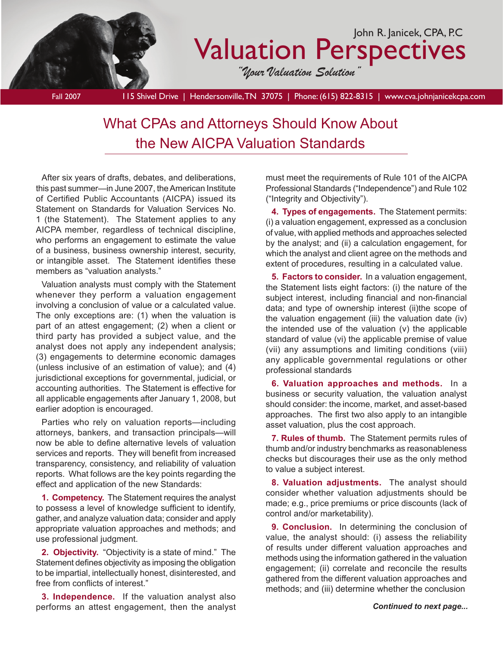

# What CPAs and Attorneys Should Know About the New AICPA Valuation Standards

After six years of drafts, debates, and deliberations, this past summer—in June 2007, the American Institute of Certified Public Accountants (AICPA) issued its Statement on Standards for Valuation Services No. 1 (the Statement). The Statement applies to any AICPA member, regardless of technical discipline, who performs an engagement to estimate the value of a business, business ownership interest, security, or intangible asset. The Statement identifies these members as "valuation analysts."

Valuation analysts must comply with the Statement whenever they perform a valuation engagement involving a conclusion of value or a calculated value. The only exceptions are: (1) when the valuation is part of an attest engagement; (2) when a client or third party has provided a subject value, and the analyst does not apply any independent analysis; (3) engagements to determine economic damages (unless inclusive of an estimation of value); and (4) jurisdictional exceptions for governmental, judicial, or accounting authorities. The Statement is effective for all applicable engagements after January 1, 2008, but earlier adoption is encouraged.

Parties who rely on valuation reports—including attorneys, bankers, and transaction principals—will now be able to define alternative levels of valuation services and reports. They will benefit from increased transparency, consistency, and reliability of valuation reports. What follows are the key points regarding the effect and application of the new Standards:

**1. Competency.** The Statement requires the analyst to possess a level of knowledge sufficient to identify, gather, and analyze valuation data; consider and apply appropriate valuation approaches and methods; and use professional judgment.

**2. Objectivity.** "Objectivity is a state of mind." The Statement defines objectivity as imposing the obligation to be impartial, intellectually honest, disinterested, and free from conflicts of interest."

**3. Independence.** If the valuation analyst also performs an attest engagement, then the analyst must meet the requirements of Rule 101 of the AICPA Professional Standards ("Independence") and Rule 102 ("Integrity and Objectivity").

**4. Types of engagements.** The Statement permits: (i) a valuation engagement, expressed as a conclusion of value, with applied methods and approaches selected by the analyst; and (ii) a calculation engagement, for which the analyst and client agree on the methods and extent of procedures, resulting in a calculated value.

**5. Factors to consider.** In a valuation engagement, the Statement lists eight factors: (i) the nature of the subject interest, including financial and non-financial data; and type of ownership interest (ii)the scope of the valuation engagement (iii) the valuation date (iv) the intended use of the valuation  $(v)$  the applicable standard of value (vi) the applicable premise of value (vii) any assumptions and limiting conditions (viii) any applicable governmental regulations or other professional standards

**6. Valuation approaches and methods.** In a business or security valuation, the valuation analyst should consider: the income, market, and asset-based approaches. The first two also apply to an intangible asset valuation, plus the cost approach.

**7. Rules of thumb.** The Statement permits rules of thumb and/or industry benchmarks as reasonableness checks but discourages their use as the only method to value a subject interest.

**8. Valuation adjustments.** The analyst should consider whether valuation adjustments should be made; e.g., price premiums or price discounts (lack of control and/or marketability).

**9. Conclusion.** In determining the conclusion of value, the analyst should: (i) assess the reliability of results under different valuation approaches and methods using the information gathered in the valuation engagement; (ii) correlate and reconcile the results gathered from the different valuation approaches and methods; and (iii) determine whether the conclusion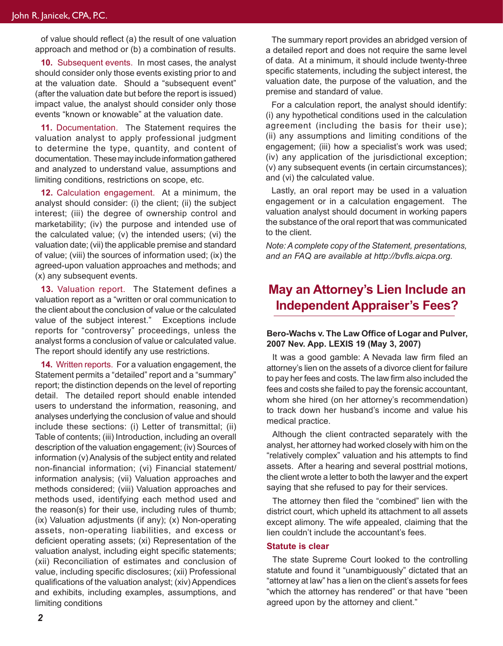of value should reflect (a) the result of one valuation approach and method or (b) a combination of results.

**10.** Subsequent events. In most cases, the analyst should consider only those events existing prior to and at the valuation date. Should a "subsequent event" (after the valuation date but before the report is issued) impact value, the analyst should consider only those events "known or knowable" at the valuation date.

**11.** Documentation. The Statement requires the valuation analyst to apply professional judgment to determine the type, quantity, and content of documentation. These may include information gathered and analyzed to understand value, assumptions and limiting conditions, restrictions on scope, etc.

**12.** Calculation engagement. At a minimum, the analyst should consider: (i) the client; (ii) the subject interest; (iii) the degree of ownership control and marketability; (iv) the purpose and intended use of the calculated value; (v) the intended users; (vi) the valuation date; (vii) the applicable premise and standard of value; (viii) the sources of information used; (ix) the agreed-upon valuation approaches and methods; and (x) any subsequent events.

**13.** Valuation report. The Statement defines a valuation report as a "written or oral communication to the client about the conclusion of value or the calculated value of the subject interest." Exceptions include reports for "controversy" proceedings, unless the analyst forms a conclusion of value or calculated value. The report should identify any use restrictions.

**14.** Written reports. For a valuation engagement, the Statement permits a "detailed" report and a "summary" report; the distinction depends on the level of reporting detail. The detailed report should enable intended users to understand the information, reasoning, and analyses underlying the conclusion of value and should include these sections: (i) Letter of transmittal; (ii) Table of contents; (iii) Introduction, including an overall description of the valuation engagement; (iv) Sources of information (v) Analysis of the subject entity and related non-financial information; (vi) Financial statement/ information analysis; (vii) Valuation approaches and methods considered; (viii) Valuation approaches and methods used, identifying each method used and the reason(s) for their use, including rules of thumb; (ix) Valuation adjustments (if any); (x) Non-operating assets, non-operating liabilities, and excess or deficient operating assets; (xi) Representation of the valuation analyst, including eight specific statements; (xii) Reconciliation of estimates and conclusion of value, including specific disclosures; (xii) Professional qualifications of the valuation analyst; (xiv) Appendices and exhibits, including examples, assumptions, and limiting conditions

The summary report provides an abridged version of a detailed report and does not require the same level of data. At a minimum, it should include twenty-three specific statements, including the subject interest, the valuation date, the purpose of the valuation, and the premise and standard of value.

For a calculation report, the analyst should identify: (i) any hypothetical conditions used in the calculation agreement (including the basis for their use); (ii) any assumptions and limiting conditions of the engagement; (iii) how a specialist's work was used; (iv) any application of the jurisdictional exception; (v) any subsequent events (in certain circumstances); and (vi) the calculated value.

Lastly, an oral report may be used in a valuation engagement or in a calculation engagement. The valuation analyst should document in working papers the substance of the oral report that was communicated to the client.

*Note: A complete copy of the Statement, presentations, and an FAQ are available at http://bvfls.aicpa.org.* 

### **May an Attorney's Lien Include an Independent Appraiser's Fees?**

#### **Bero-Wachs v. The Law Office of Logar and Pulver, 2007 Nev. App. LEXIS 19 (May 3, 2007)**

It was a good gamble: A Nevada law firm filed an attorney's lien on the assets of a divorce client for failure to pay her fees and costs. The law firm also included the fees and costs she failed to pay the forensic accountant, whom she hired (on her attorney's recommendation) to track down her husband's income and value his medical practice.

Although the client contracted separately with the analyst, her attorney had worked closely with him on the "relatively complex" valuation and his attempts to find assets. After a hearing and several posttrial motions, the client wrote a letter to both the lawyer and the expert saying that she refused to pay for their services.

The attorney then filed the "combined" lien with the district court, which upheld its attachment to all assets except alimony. The wife appealed, claiming that the lien couldn't include the accountant's fees.

#### **Statute is clear**

The state Supreme Court looked to the controlling statute and found it "unambiguously" dictated that an "attorney at law" has a lien on the client's assets for fees "which the attorney has rendered" or that have "been agreed upon by the attorney and client."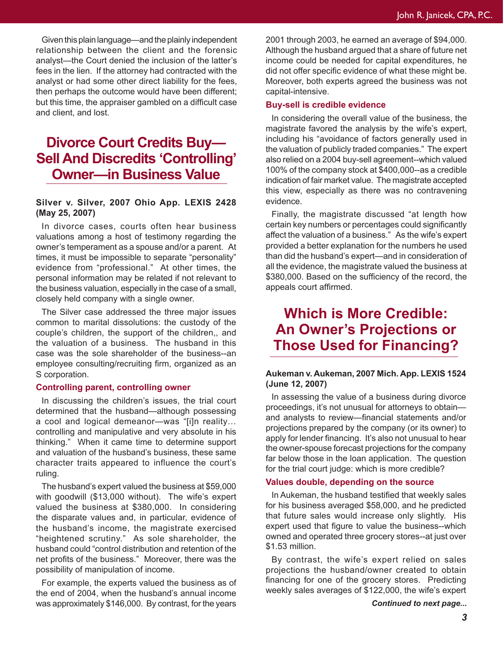Given this plain language—and the plainly independent relationship between the client and the forensic analyst—the Court denied the inclusion of the latter's fees in the lien. If the attorney had contracted with the analyst or had some other direct liability for the fees, then perhaps the outcome would have been different; but this time, the appraiser gambled on a difficult case and client, and lost.

## **Divorce Court Credits Buy— Sell And Discredits 'Controlling' Owner—in Business Value**

#### **Silver v. Silver, 2007 Ohio App. LEXIS 2428 (May 25, 2007)**

In divorce cases, courts often hear business valuations among a host of testimony regarding the owner's temperament as a spouse and/or a parent. At times, it must be impossible to separate "personality" evidence from "professional." At other times, the personal information may be related if not relevant to the business valuation, especially in the case of a small, closely held company with a single owner.

The Silver case addressed the three major issues common to marital dissolutions: the custody of the couple's children, the support of the children,, and the valuation of a business. The husband in this case was the sole shareholder of the business--an employee consulting/recruiting firm, organized as an S corporation.

#### **Controlling parent, controlling owner**

In discussing the children's issues, the trial court determined that the husband—although possessing a cool and logical demeanor—was "[i]n reality… controlling and manipulative and very absolute in his thinking." When it came time to determine support and valuation of the husband's business, these same character traits appeared to influence the court's ruling.

The husband's expert valued the business at \$59,000 with goodwill (\$13,000 without). The wife's expert valued the business at \$380,000. In considering the disparate values and, in particular, evidence of the husband's income, the magistrate exercised "heightened scrutiny." As sole shareholder, the husband could "control distribution and retention of the net profits of the business." Moreover, there was the possibility of manipulation of income.

For example, the experts valued the business as of the end of 2004, when the husband's annual income was approximately \$146,000. By contrast, for the years

2001 through 2003, he earned an average of \$94,000. Although the husband argued that a share of future net income could be needed for capital expenditures, he did not offer specific evidence of what these might be. Moreover, both experts agreed the business was not capital-intensive.

#### **Buy-sell is credible evidence**

In considering the overall value of the business, the magistrate favored the analysis by the wife's expert, including his "avoidance of factors generally used in the valuation of publicly traded companies." The expert also relied on a 2004 buy-sell agreement--which valued 100% of the company stock at \$400,000--as a credible indication of fair market value. The magistrate accepted this view, especially as there was no contravening evidence.

Finally, the magistrate discussed "at length how certain key numbers or percentages could significantly affect the valuation of a business." As the wife's expert provided a better explanation for the numbers he used than did the husband's expert—and in consideration of all the evidence, the magistrate valued the business at \$380,000. Based on the sufficiency of the record, the appeals court affirmed.

## **Which is More Credible: An Owner's Projections or Those Used for Financing?**

#### **Aukeman v. Aukeman, 2007 Mich. App. LEXIS 1524 (June 12, 2007)**

In assessing the value of a business during divorce proceedings, it's not unusual for attorneys to obtain and analysts to review—financial statements and/or projections prepared by the company (or its owner) to apply for lender financing. It's also not unusual to hear the owner-spouse forecast projections for the company far below those in the loan application. The question for the trial court judge: which is more credible?

#### **Values double, depending on the source**

In Aukeman, the husband testified that weekly sales for his business averaged \$58,000, and he predicted that future sales would increase only slightly. His expert used that figure to value the business--which owned and operated three grocery stores--at just over \$1.53 million.

By contrast, the wife's expert relied on sales projections the husband/owner created to obtain financing for one of the grocery stores. Predicting weekly sales averages of \$122,000, the wife's expert

*Continued to next page...*